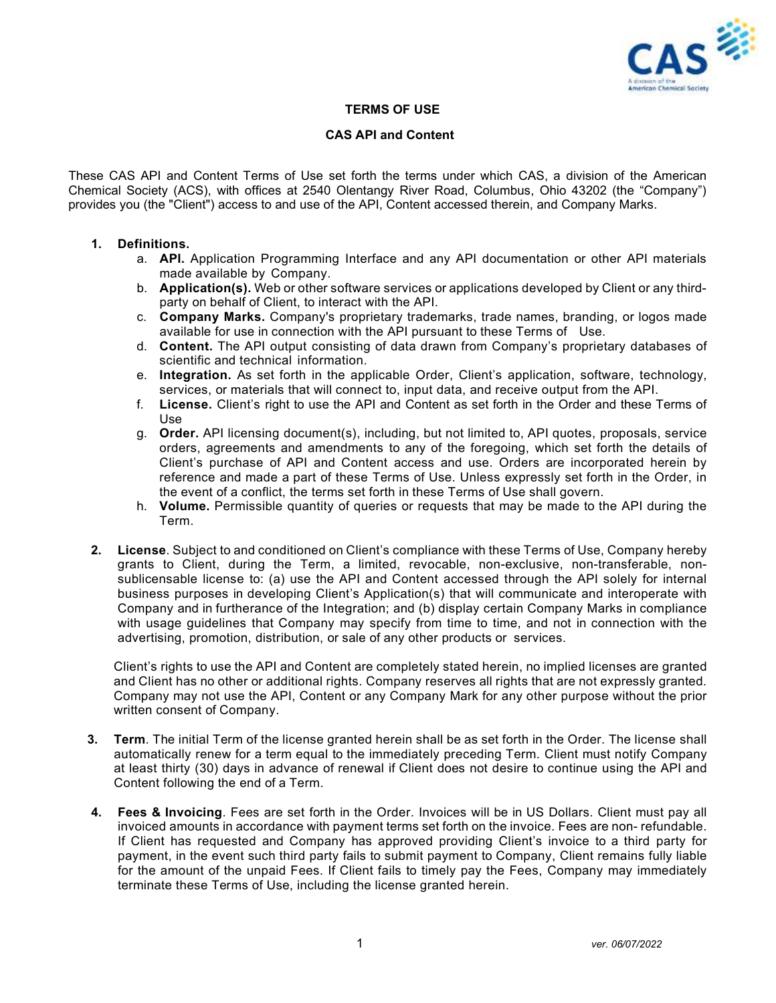

# TERMS OF USE

## CAS API and Content

These CAS API and Content Terms of Use set forth the terms under which CAS, a division of the American Chemical Society (ACS), with offices at 2540 Olentangy River Road, Columbus, Ohio 43202 (the "Company") provides you (the "Client") access to and use of the API, Content accessed therein, and Company Marks.

## 1. Definitions.

- a. API. Application Programming Interface and any API documentation or other API materials made available by Company.
- b. **Application(s).** Web or other software services or applications developed by Client or any thirdparty on behalf of Client, to interact with the API.
- c. Company Marks. Company's proprietary trademarks, trade names, branding, or logos made available for use in connection with the API pursuant to these Terms of Use.
- d. Content. The API output consisting of data drawn from Company's proprietary databases of scientific and technical information.
- e. Integration. As set forth in the applicable Order, Client's application, software, technology, services, or materials that will connect to, input data, and receive output from the API.
- f. License. Client's right to use the API and Content as set forth in the Order and these Terms of Use
- g. Order. API licensing document(s), including, but not limited to, API quotes, proposals, service orders, agreements and amendments to any of the foregoing, which set forth the details of Client's purchase of API and Content access and use. Orders are incorporated herein by reference and made a part of these Terms of Use. Unless expressly set forth in the Order, in the event of a conflict, the terms set forth in these Terms of Use shall govern.
- h. Volume. Permissible quantity of queries or requests that may be made to the API during the Term.
- 2. License. Subject to and conditioned on Client's compliance with these Terms of Use, Company hereby grants to Client, during the Term, a limited, revocable, non-exclusive, non-transferable, nonsublicensable license to: (a) use the API and Content accessed through the API solely for internal business purposes in developing Client's Application(s) that will communicate and interoperate with Company and in furtherance of the Integration; and (b) display certain Company Marks in compliance with usage guidelines that Company may specify from time to time, and not in connection with the advertising, promotion, distribution, or sale of any other products or services.

Client's rights to use the API and Content are completely stated herein, no implied licenses are granted and Client has no other or additional rights. Company reserves all rights that are not expressly granted. Company may not use the API, Content or any Company Mark for any other purpose without the prior written consent of Company.

- 3. Term. The initial Term of the license granted herein shall be as set forth in the Order. The license shall automatically renew for a term equal to the immediately preceding Term. Client must notify Company at least thirty (30) days in advance of renewal if Client does not desire to continue using the API and Content following the end of a Term.
- 4. Fees & Invoicing. Fees are set forth in the Order. Invoices will be in US Dollars. Client must pay all invoiced amounts in accordance with payment terms set forth on the invoice. Fees are non- refundable. If Client has requested and Company has approved providing Client's invoice to a third party for payment, in the event such third party fails to submit payment to Company, Client remains fully liable for the amount of the unpaid Fees. If Client fails to timely pay the Fees, Company may immediately terminate these Terms of Use, including the license granted herein.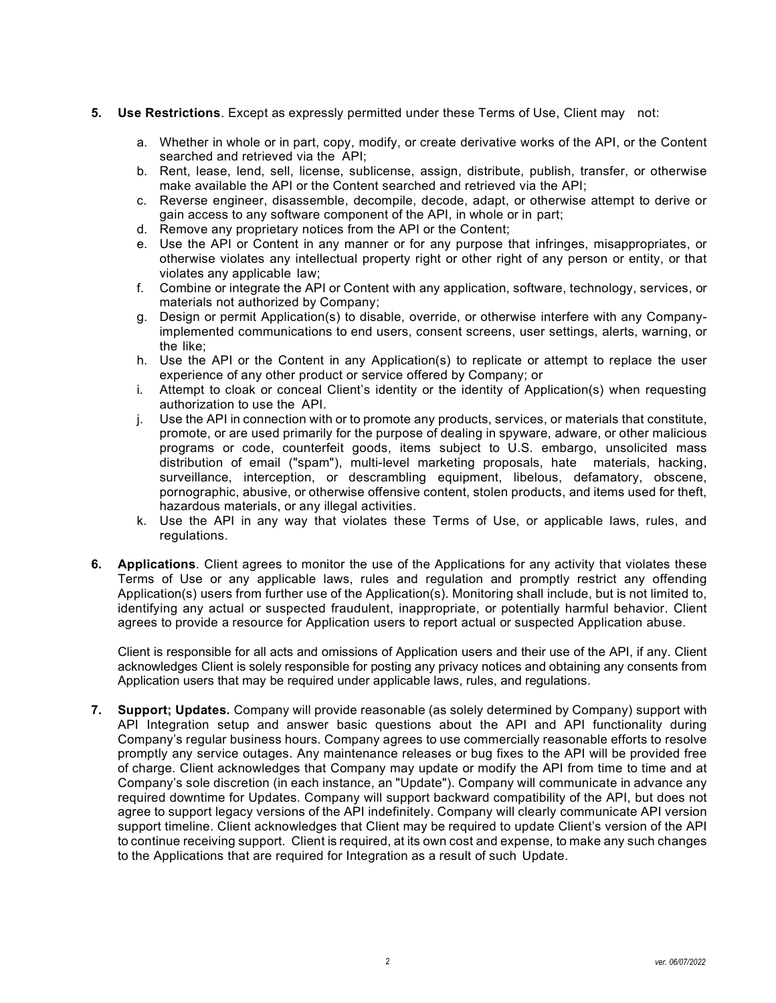## 5. Use Restrictions. Except as expressly permitted under these Terms of Use, Client may not:

- a. Whether in whole or in part, copy, modify, or create derivative works of the API, or the Content searched and retrieved via the API;
- b. Rent, lease, lend, sell, license, sublicense, assign, distribute, publish, transfer, or otherwise make available the API or the Content searched and retrieved via the API;
- c. Reverse engineer, disassemble, decompile, decode, adapt, or otherwise attempt to derive or gain access to any software component of the API, in whole or in part;
- d. Remove any proprietary notices from the API or the Content;
- e. Use the API or Content in any manner or for any purpose that infringes, misappropriates, or otherwise violates any intellectual property right or other right of any person or entity, or that violates any applicable law;
- f. Combine or integrate the API or Content with any application, software, technology, services, or materials not authorized by Company;
- g. Design or permit Application(s) to disable, override, or otherwise interfere with any Companyimplemented communications to end users, consent screens, user settings, alerts, warning, or the like;
- h. Use the API or the Content in any Application(s) to replicate or attempt to replace the user experience of any other product or service offered by Company; or
- i. Attempt to cloak or conceal Client's identity or the identity of Application(s) when requesting authorization to use the API.
- j. Use the API in connection with or to promote any products, services, or materials that constitute, promote, or are used primarily for the purpose of dealing in spyware, adware, or other malicious programs or code, counterfeit goods, items subject to U.S. embargo, unsolicited mass distribution of email ("spam"), multi-level marketing proposals, hate materials, hacking, surveillance, interception, or descrambling equipment, libelous, defamatory, obscene, pornographic, abusive, or otherwise offensive content, stolen products, and items used for theft, hazardous materials, or any illegal activities.
- k. Use the API in any way that violates these Terms of Use, or applicable laws, rules, and regulations.
- 6. Applications. Client agrees to monitor the use of the Applications for any activity that violates these Terms of Use or any applicable laws, rules and regulation and promptly restrict any offending Application(s) users from further use of the Application(s). Monitoring shall include, but is not limited to, identifying any actual or suspected fraudulent, inappropriate, or potentially harmful behavior. Client agrees to provide a resource for Application users to report actual or suspected Application abuse.

Client is responsible for all acts and omissions of Application users and their use of the API, if any. Client acknowledges Client is solely responsible for posting any privacy notices and obtaining any consents from Application users that may be required under applicable laws, rules, and regulations.

7. Support; Updates. Company will provide reasonable (as solely determined by Company) support with API Integration setup and answer basic questions about the API and API functionality during Company's regular business hours. Company agrees to use commercially reasonable efforts to resolve promptly any service outages. Any maintenance releases or bug fixes to the API will be provided free of charge. Client acknowledges that Company may update or modify the API from time to time and at Company's sole discretion (in each instance, an "Update"). Company will communicate in advance any required downtime for Updates. Company will support backward compatibility of the API, but does not agree to support legacy versions of the API indefinitely. Company will clearly communicate API version support timeline. Client acknowledges that Client may be required to update Client's version of the API to continue receiving support. Client is required, at its own cost and expense, to make any such changes to the Applications that are required for Integration as a result of such Update.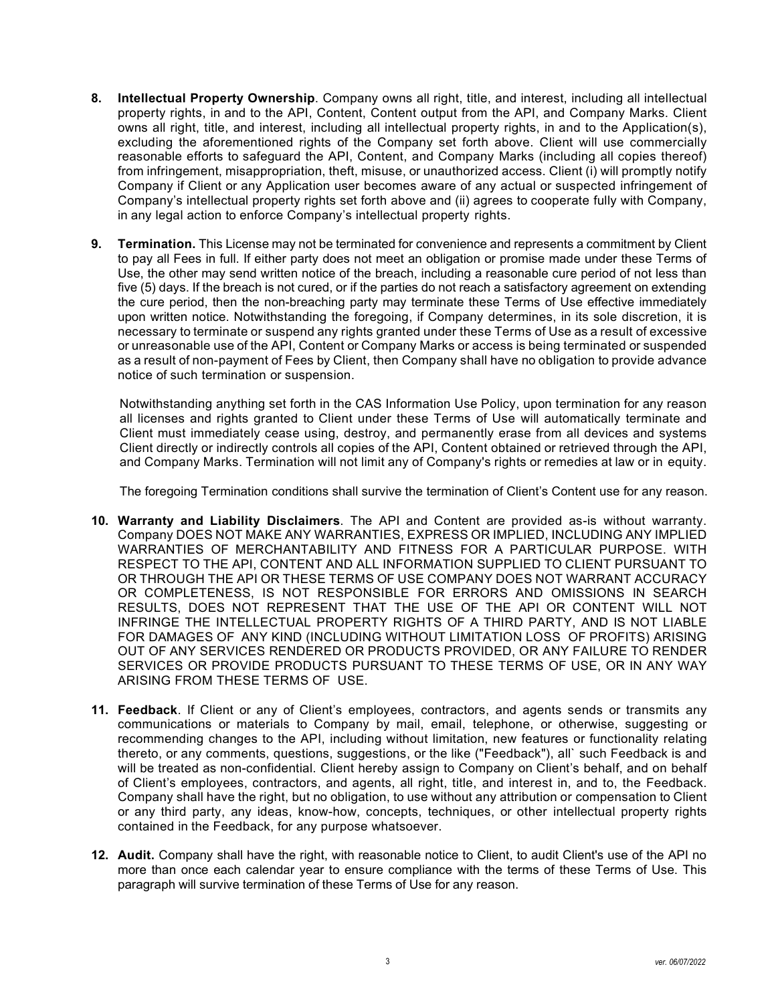- 8. Intellectual Property Ownership. Company owns all right, title, and interest, including all intellectual property rights, in and to the API, Content, Content output from the API, and Company Marks. Client owns all right, title, and interest, including all intellectual property rights, in and to the Application(s), excluding the aforementioned rights of the Company set forth above. Client will use commercially reasonable efforts to safeguard the API, Content, and Company Marks (including all copies thereof) from infringement, misappropriation, theft, misuse, or unauthorized access. Client (i) will promptly notify Company if Client or any Application user becomes aware of any actual or suspected infringement of Company's intellectual property rights set forth above and (ii) agrees to cooperate fully with Company, in any legal action to enforce Company's intellectual property rights.
- 9. Termination. This License may not be terminated for convenience and represents a commitment by Client to pay all Fees in full. If either party does not meet an obligation or promise made under these Terms of Use, the other may send written notice of the breach, including a reasonable cure period of not less than five (5) days. If the breach is not cured, or if the parties do not reach a satisfactory agreement on extending the cure period, then the non-breaching party may terminate these Terms of Use effective immediately upon written notice. Notwithstanding the foregoing, if Company determines, in its sole discretion, it is necessary to terminate or suspend any rights granted under these Terms of Use as a result of excessive or unreasonable use of the API, Content or Company Marks or access is being terminated or suspended as a result of non-payment of Fees by Client, then Company shall have no obligation to provide advance notice of such termination or suspension.

Notwithstanding anything set forth in the CAS Information Use Policy, upon termination for any reason all licenses and rights granted to Client under these Terms of Use will automatically terminate and Client must immediately cease using, destroy, and permanently erase from all devices and systems Client directly or indirectly controls all copies of the API, Content obtained or retrieved through the API, and Company Marks. Termination will not limit any of Company's rights or remedies at law or in equity.

The foregoing Termination conditions shall survive the termination of Client's Content use for any reason.

- 10. Warranty and Liability Disclaimers. The API and Content are provided as-is without warranty. Company DOES NOT MAKE ANY WARRANTIES, EXPRESS OR IMPLIED, INCLUDING ANY IMPLIED WARRANTIES OF MERCHANTABILITY AND FITNESS FOR A PARTICULAR PURPOSE. WITH RESPECT TO THE API, CONTENT AND ALL INFORMATION SUPPLIED TO CLIENT PURSUANT TO OR THROUGH THE API OR THESE TERMS OF USE COMPANY DOES NOT WARRANT ACCURACY OR COMPLETENESS, IS NOT RESPONSIBLE FOR ERRORS AND OMISSIONS IN SEARCH RESULTS, DOES NOT REPRESENT THAT THE USE OF THE API OR CONTENT WILL NOT INFRINGE THE INTELLECTUAL PROPERTY RIGHTS OF A THIRD PARTY, AND IS NOT LIABLE FOR DAMAGES OF ANY KIND (INCLUDING WITHOUT LIMITATION LOSS OF PROFITS) ARISING OUT OF ANY SERVICES RENDERED OR PRODUCTS PROVIDED, OR ANY FAILURE TO RENDER SERVICES OR PROVIDE PRODUCTS PURSUANT TO THESE TERMS OF USE, OR IN ANY WAY ARISING FROM THESE TERMS OF USE.
- 11. Feedback. If Client or any of Client's employees, contractors, and agents sends or transmits any communications or materials to Company by mail, email, telephone, or otherwise, suggesting or recommending changes to the API, including without limitation, new features or functionality relating thereto, or any comments, questions, suggestions, or the like ("Feedback"), all` such Feedback is and will be treated as non-confidential. Client hereby assign to Company on Client's behalf, and on behalf of Client's employees, contractors, and agents, all right, title, and interest in, and to, the Feedback. Company shall have the right, but no obligation, to use without any attribution or compensation to Client or any third party, any ideas, know-how, concepts, techniques, or other intellectual property rights contained in the Feedback, for any purpose whatsoever.
- 12. Audit. Company shall have the right, with reasonable notice to Client, to audit Client's use of the API no more than once each calendar year to ensure compliance with the terms of these Terms of Use. This paragraph will survive termination of these Terms of Use for any reason.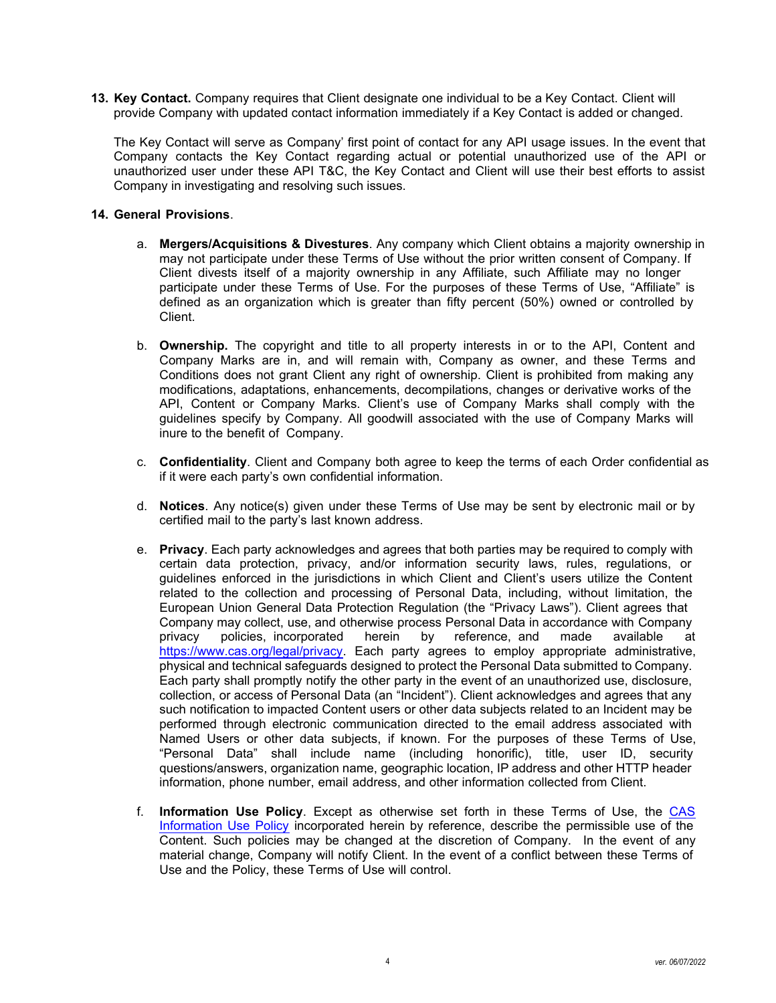**13.** Key Contact. Company requires that Client designate one individual to be a Key Contact. Client will provide Company with updated contact information immediately if a Key Contact is added or changed.

The Key Contact will serve as Company' first point of contact for any API usage issues. In the event that Company contacts the Key Contact regarding actual or potential unauthorized use of the API or unauthorized user under these API T&C, the Key Contact and Client will use their best efforts to assist Company in investigating and resolving such issues.

### **14.** General Provisions.

- a. Mergers/Acquisitions & Divestures. Any company which Client obtains a majority ownership in may not participate under these Terms of Use without the prior written consent of Company. If Client divests itself of a majority ownership in any Affiliate, such Affiliate may no longer participate under these Terms of Use. For the purposes of these Terms of Use, "Affiliate" is defined as an organization which is greater than fifty percent (50%) owned or controlled by Client.
- b. Ownership. The copyright and title to all property interests in or to the API, Content and Company Marks are in, and will remain with, Company as owner, and these Terms and Conditions does not grant Client any right of ownership. Client is prohibited from making any modifications, adaptations, enhancements, decompilations, changes or derivative works of the API, Content or Company Marks. Client's use of Company Marks shall comply with the guidelines specify by Company. All goodwill associated with the use of Company Marks will inure to the benefit of Company.
- c. Confidentiality. Client and Company both agree to keep the terms of each Order confidential as if it were each party's own confidential information.
- d. Notices. Any notice(s) given under these Terms of Use may be sent by electronic mail or by certified mail to the party's last known address.
- e. Privacy. Each party acknowledges and agrees that both parties may be required to comply with certain data protection, privacy, and/or information security laws, rules, regulations, or guidelines enforced in the jurisdictions in which Client and Client's users utilize the Content related to the collection and processing of Personal Data, including, without limitation, the European Union General Data Protection Regulation (the "Privacy Laws"). Client agrees that Company may collect, use, and otherwise process Personal Data in accordance with Company privacy policies, incorporated herein by reference, and made available at https://www.cas.org/legal/privacy. Each party agrees to employ appropriate administrative, physical and technical safeguards designed to protect the Personal Data submitted to Company. Each party shall promptly notify the other party in the event of an unauthorized use, disclosure, collection, or access of Personal Data (an "Incident"). Client acknowledges and agrees that any such notification to impacted Content users or other data subjects related to an Incident may be performed through electronic communication directed to the email address associated with Named Users or other data subjects, if known. For the purposes of these Terms of Use, "Personal Data" shall include name (including honorific), title, user ID, security questions/answers, organization name, geographic location, IP address and other HTTP header information, phone number, email address, and other information collected from Client.
- f. Information Use Policy. Except as otherwise set forth in these Terms of Use, the CAS [Information Use Policy](https://www.cas.org/sites/default/files/documents/info-use-policy.pdf) incorporated herein by reference, describe the permissible use of the Content. Such policies may be changed at the discretion of Company. In the event of any material change, Company will notify Client. In the event of a conflict between these Terms of Use and the Policy, these Terms of Use will control.